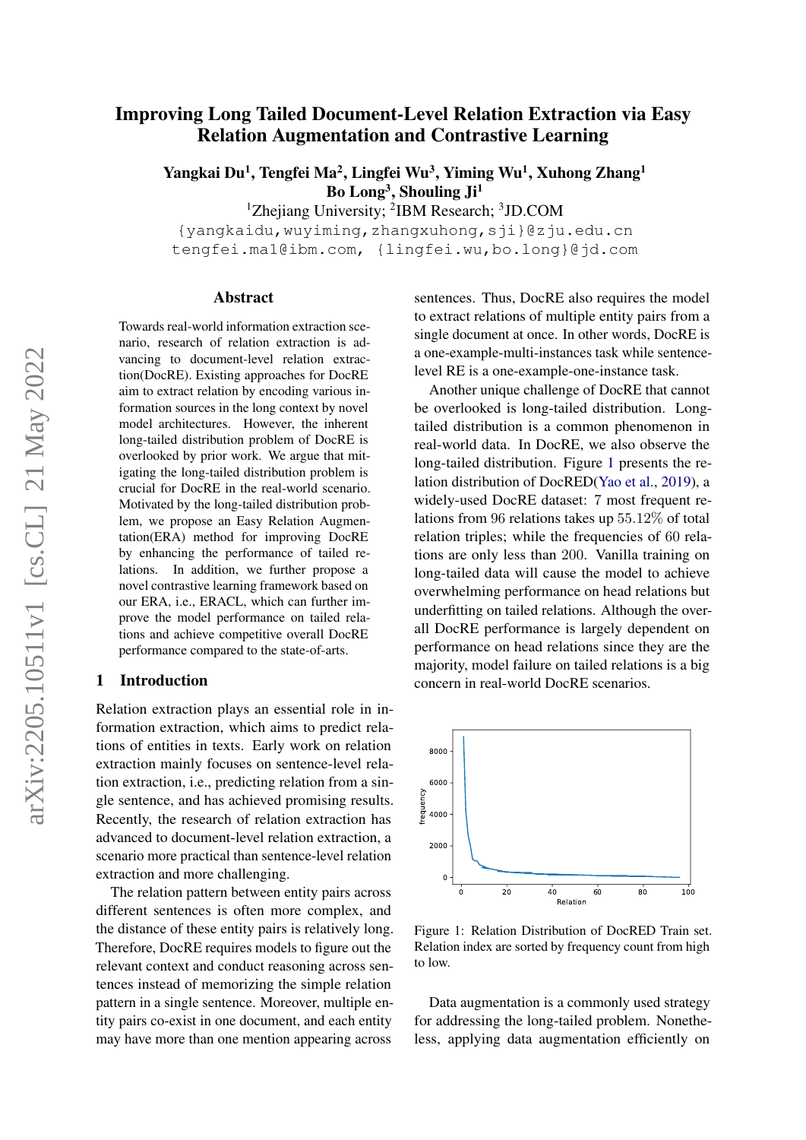# Improving Long Tailed Document-Level Relation Extraction via Easy Relation Augmentation and Contrastive Learning

Yangkai Du<sup>1</sup>, Tengfei Ma<sup>2</sup>, Lingfei Wu<sup>3</sup>, Yiming Wu<sup>1</sup>, Xuhong Zhang<sup>1</sup> Bo Long<sup>3</sup>, Shouling Ji<sup>1</sup>

<sup>1</sup>Zhejiang University; <sup>2</sup>IBM Research; <sup>3</sup>JD.COM

{yangkaidu,wuyiming,zhangxuhong,sji}@zju.edu.cn tengfei.ma1@ibm.com, {lingfei.wu,bo.long}@jd.com

#### Abstract

Towards real-world information extraction scenario, research of relation extraction is advancing to document-level relation extraction(DocRE). Existing approaches for DocRE aim to extract relation by encoding various information sources in the long context by novel model architectures. However, the inherent long-tailed distribution problem of DocRE is overlooked by prior work. We argue that mitigating the long-tailed distribution problem is crucial for DocRE in the real-world scenario. Motivated by the long-tailed distribution problem, we propose an Easy Relation Augmentation(ERA) method for improving DocRE by enhancing the performance of tailed relations. In addition, we further propose a novel contrastive learning framework based on our ERA, i.e., ERACL, which can further improve the model performance on tailed relations and achieve competitive overall DocRE performance compared to the state-of-arts.

#### 1 Introduction

Relation extraction plays an essential role in information extraction, which aims to predict relations of entities in texts. Early work on relation extraction mainly focuses on sentence-level relation extraction, i.e., predicting relation from a single sentence, and has achieved promising results. Recently, the research of relation extraction has advanced to document-level relation extraction, a scenario more practical than sentence-level relation extraction and more challenging.

The relation pattern between entity pairs across different sentences is often more complex, and the distance of these entity pairs is relatively long. Therefore, DocRE requires models to figure out the relevant context and conduct reasoning across sentences instead of memorizing the simple relation pattern in a single sentence. Moreover, multiple entity pairs co-exist in one document, and each entity may have more than one mention appearing across

sentences. Thus, DocRE also requires the model to extract relations of multiple entity pairs from a single document at once. In other words, DocRE is a one-example-multi-instances task while sentencelevel RE is a one-example-one-instance task.

Another unique challenge of DocRE that cannot be overlooked is long-tailed distribution. Longtailed distribution is a common phenomenon in real-world data. In DocRE, we also observe the long-tailed distribution. Figure [1](#page-0-0) presents the relation distribution of DocRED[\(Yao et al.,](#page-10-0) [2019\)](#page-10-0), a widely-used DocRE dataset: 7 most frequent relations from 96 relations takes up 55.12% of total relation triples; while the frequencies of 60 relations are only less than 200. Vanilla training on long-tailed data will cause the model to achieve overwhelming performance on head relations but underfitting on tailed relations. Although the overall DocRE performance is largely dependent on performance on head relations since they are the majority, model failure on tailed relations is a big concern in real-world DocRE scenarios.

<span id="page-0-0"></span>

Figure 1: Relation Distribution of DocRED Train set. Relation index are sorted by frequency count from high to low.

Data augmentation is a commonly used strategy for addressing the long-tailed problem. Nonetheless, applying data augmentation efficiently on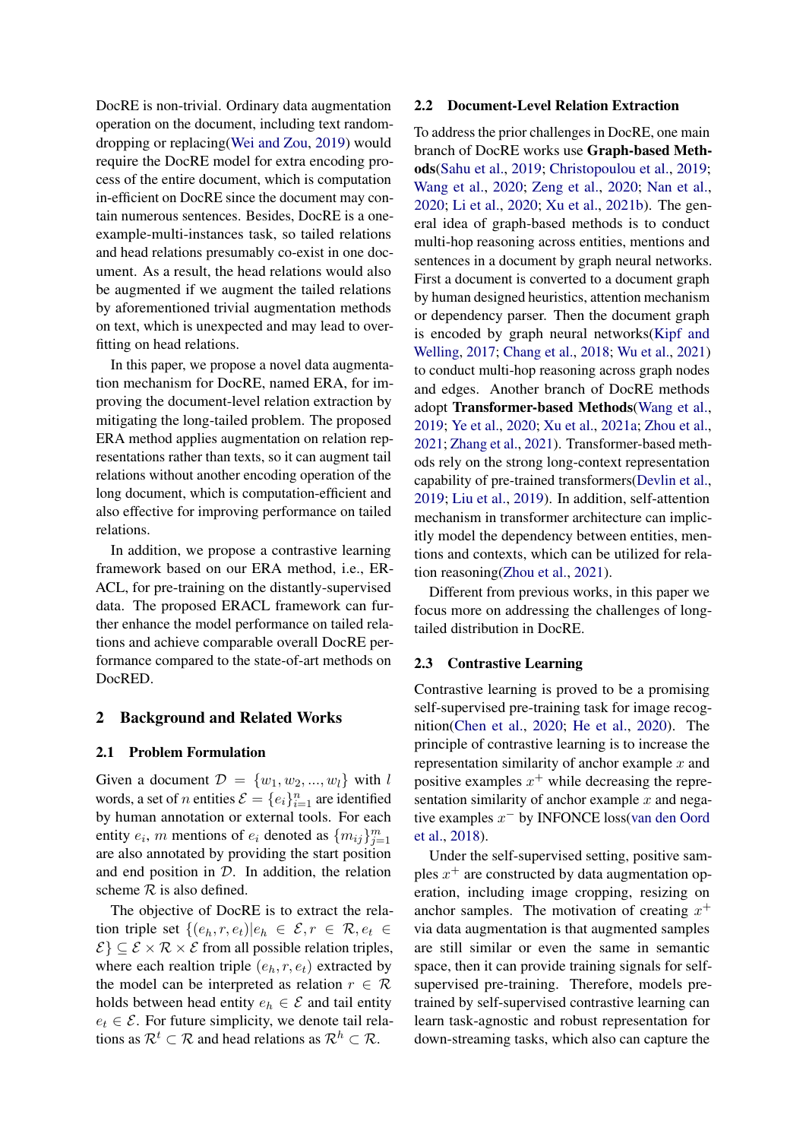DocRE is non-trivial. Ordinary data augmentation operation on the document, including text randomdropping or replacing[\(Wei and Zou,](#page-9-0) [2019\)](#page-9-0) would require the DocRE model for extra encoding process of the entire document, which is computation in-efficient on DocRE since the document may contain numerous sentences. Besides, DocRE is a oneexample-multi-instances task, so tailed relations and head relations presumably co-exist in one document. As a result, the head relations would also be augmented if we augment the tailed relations by aforementioned trivial augmentation methods on text, which is unexpected and may lead to overfitting on head relations.

In this paper, we propose a novel data augmentation mechanism for DocRE, named ERA, for improving the document-level relation extraction by mitigating the long-tailed problem. The proposed ERA method applies augmentation on relation representations rather than texts, so it can augment tail relations without another encoding operation of the long document, which is computation-efficient and also effective for improving performance on tailed relations.

In addition, we propose a contrastive learning framework based on our ERA method, i.e., ER-ACL, for pre-training on the distantly-supervised data. The proposed ERACL framework can further enhance the model performance on tailed relations and achieve comparable overall DocRE performance compared to the state-of-art methods on DocRED.

### 2 Background and Related Works

#### 2.1 Problem Formulation

Given a document  $\mathcal{D} = \{w_1, w_2, ..., w_l\}$  with l words, a set of *n* entities  $\mathcal{E} = \{e_i\}_{i=1}^n$  are identified by human annotation or external tools. For each entity  $e_i$ , m mentions of  $e_i$  denoted as  $\{m_{ij}\}_{j=1}^m$ are also annotated by providing the start position and end position in  $D$ . In addition, the relation scheme  $R$  is also defined.

The objective of DocRE is to extract the relation triple set  $\{(e_h, r, e_t)|e_h \in \mathcal{E}, r \in \mathcal{R}, e_t \in$  $\{\mathcal{E}\}\subseteq \mathcal{E}\times\mathcal{R}\times\mathcal{E}$  from all possible relation triples, where each realtion triple  $(e_h, r, e_t)$  extracted by the model can be interpreted as relation  $r \in \mathcal{R}$ holds between head entity  $e_h \in \mathcal{E}$  and tail entity  $e_t \in \mathcal{E}$ . For future simplicity, we denote tail relations as  $\mathcal{R}^t \subset \mathcal{R}$  and head relations as  $\mathcal{R}^h \subset \mathcal{R}$ .

#### <span id="page-1-0"></span>2.2 Document-Level Relation Extraction

To address the prior challenges in DocRE, one main branch of DocRE works use Graph-based Methods[\(Sahu et al.,](#page-9-1) [2019;](#page-9-1) [Christopoulou et al.,](#page-8-0) [2019;](#page-8-0) [Wang et al.,](#page-9-2) [2020;](#page-9-2) [Zeng et al.,](#page-10-1) [2020;](#page-10-1) [Nan et al.,](#page-9-3) [2020;](#page-9-3) [Li et al.,](#page-9-4) [2020;](#page-9-4) [Xu et al.,](#page-10-2) [2021b\)](#page-10-2). The general idea of graph-based methods is to conduct multi-hop reasoning across entities, mentions and sentences in a document by graph neural networks. First a document is converted to a document graph by human designed heuristics, attention mechanism or dependency parser. Then the document graph is encoded by graph neural networks[\(Kipf and](#page-9-5) [Welling,](#page-9-5) [2017;](#page-9-5) [Chang et al.,](#page-8-1) [2018;](#page-8-1) [Wu et al.,](#page-9-6) [2021\)](#page-9-6) to conduct multi-hop reasoning across graph nodes and edges. Another branch of DocRE methods adopt Transformer-based Methods[\(Wang et al.,](#page-9-7) [2019;](#page-9-7) [Ye et al.,](#page-10-3) [2020;](#page-10-3) [Xu et al.,](#page-9-8) [2021a;](#page-9-8) [Zhou et al.,](#page-10-4) [2021;](#page-10-4) [Zhang et al.,](#page-10-5) [2021\)](#page-10-5). Transformer-based methods rely on the strong long-context representation capability of pre-trained transformers[\(Devlin et al.,](#page-8-2) [2019;](#page-8-2) [Liu et al.,](#page-9-9) [2019\)](#page-9-9). In addition, self-attention mechanism in transformer architecture can implicitly model the dependency between entities, mentions and contexts, which can be utilized for relation reasoning[\(Zhou et al.,](#page-10-4) [2021\)](#page-10-4).

Different from previous works, in this paper we focus more on addressing the challenges of longtailed distribution in DocRE.

#### 2.3 Contrastive Learning

Contrastive learning is proved to be a promising self-supervised pre-training task for image recognition[\(Chen et al.,](#page-8-3) [2020;](#page-8-3) [He et al.,](#page-9-10) [2020\)](#page-9-10). The principle of contrastive learning is to increase the representation similarity of anchor example  $x$  and positive examples  $x^+$  while decreasing the representation similarity of anchor example  $x$  and negative examples  $x^-$  by INFONCE loss[\(van den Oord](#page-9-11) [et al.,](#page-9-11) [2018\)](#page-9-11).

Under the self-supervised setting, positive samples  $x^{+}$  are constructed by data augmentation operation, including image cropping, resizing on anchor samples. The motivation of creating  $x^+$ via data augmentation is that augmented samples are still similar or even the same in semantic space, then it can provide training signals for selfsupervised pre-training. Therefore, models pretrained by self-supervised contrastive learning can learn task-agnostic and robust representation for down-streaming tasks, which also can capture the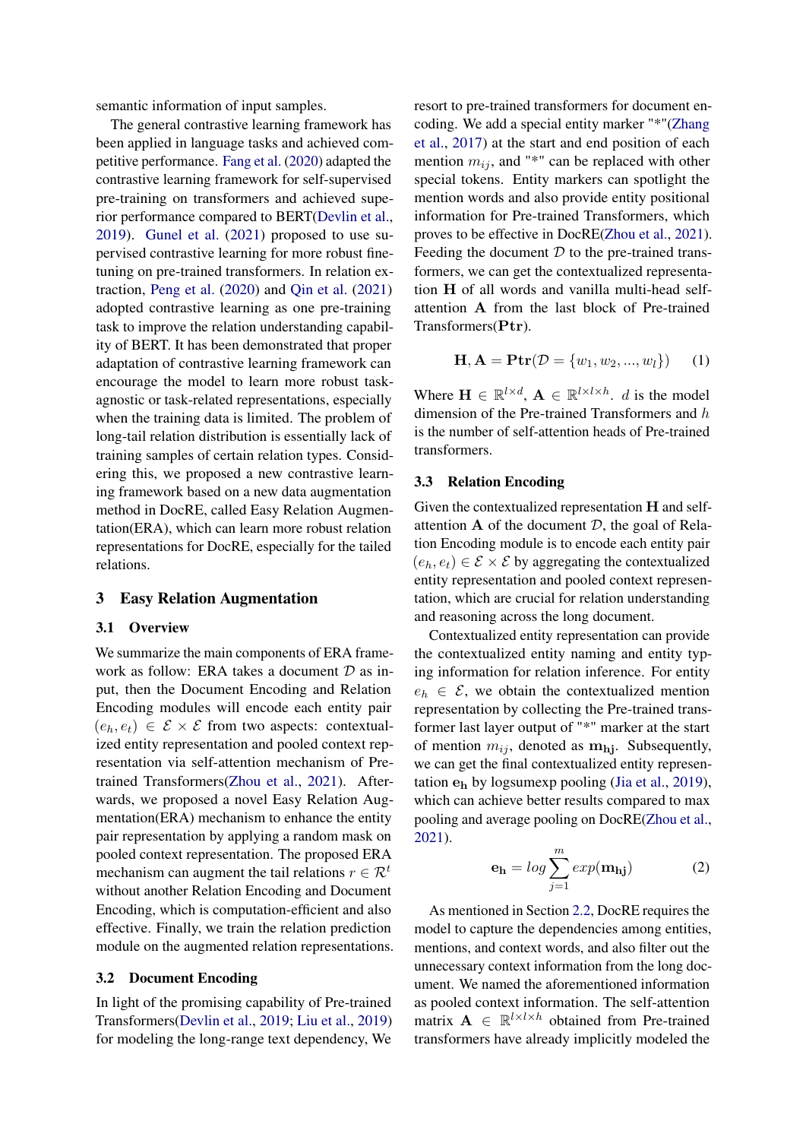semantic information of input samples.

The general contrastive learning framework has been applied in language tasks and achieved competitive performance. [Fang et al.](#page-8-4) [\(2020\)](#page-8-4) adapted the contrastive learning framework for self-supervised pre-training on transformers and achieved superior performance compared to BERT[\(Devlin et al.,](#page-8-2) [2019\)](#page-8-2). [Gunel et al.](#page-9-12) [\(2021\)](#page-9-12) proposed to use supervised contrastive learning for more robust finetuning on pre-trained transformers. In relation extraction, [Peng et al.](#page-9-13) [\(2020\)](#page-9-13) and [Qin et al.](#page-9-14) [\(2021\)](#page-9-14) adopted contrastive learning as one pre-training task to improve the relation understanding capability of BERT. It has been demonstrated that proper adaptation of contrastive learning framework can encourage the model to learn more robust taskagnostic or task-related representations, especially when the training data is limited. The problem of long-tail relation distribution is essentially lack of training samples of certain relation types. Considering this, we proposed a new contrastive learning framework based on a new data augmentation method in DocRE, called Easy Relation Augmentation(ERA), which can learn more robust relation representations for DocRE, especially for the tailed relations.

### 3 Easy Relation Augmentation

### 3.1 Overview

We summarize the main components of ERA framework as follow: ERA takes a document  $D$  as input, then the Document Encoding and Relation Encoding modules will encode each entity pair  $(e_h, e_t) \in \mathcal{E} \times \mathcal{E}$  from two aspects: contextualized entity representation and pooled context representation via self-attention mechanism of Pretrained Transformers[\(Zhou et al.,](#page-10-4) [2021\)](#page-10-4). Afterwards, we proposed a novel Easy Relation Augmentation(ERA) mechanism to enhance the entity pair representation by applying a random mask on pooled context representation. The proposed ERA mechanism can augment the tail relations  $r \in \mathcal{R}^t$ without another Relation Encoding and Document Encoding, which is computation-efficient and also effective. Finally, we train the relation prediction module on the augmented relation representations.

### 3.2 Document Encoding

In light of the promising capability of Pre-trained Transformers[\(Devlin et al.,](#page-8-2) [2019;](#page-8-2) [Liu et al.,](#page-9-9) [2019\)](#page-9-9) for modeling the long-range text dependency, We resort to pre-trained transformers for document encoding. We add a special entity marker "\*"[\(Zhang](#page-10-6) [et al.,](#page-10-6) [2017\)](#page-10-6) at the start and end position of each mention  $m_{ij}$ , and "\*" can be replaced with other special tokens. Entity markers can spotlight the mention words and also provide entity positional information for Pre-trained Transformers, which proves to be effective in DocRE[\(Zhou et al.,](#page-10-4) [2021\)](#page-10-4). Feeding the document  $D$  to the pre-trained transformers, we can get the contextualized representation H of all words and vanilla multi-head selfattention A from the last block of Pre-trained Transformers(Ptr).

$$
\mathbf{H}, \mathbf{A} = \mathbf{Ptr}(\mathcal{D} = \{w_1, w_2, ..., w_l\}) \tag{1}
$$

Where  $\mathbf{H} \in \mathbb{R}^{l \times d}$ ,  $\mathbf{A} \in \mathbb{R}^{l \times l \times h}$ . *d* is the model dimension of the Pre-trained Transformers and h is the number of self-attention heads of Pre-trained transformers.

### 3.3 Relation Encoding

Given the contextualized representation H and selfattention  $A$  of the document  $D$ , the goal of Relation Encoding module is to encode each entity pair  $(e_h, e_t) \in \mathcal{E} \times \mathcal{E}$  by aggregating the contextualized entity representation and pooled context representation, which are crucial for relation understanding and reasoning across the long document.

Contextualized entity representation can provide the contextualized entity naming and entity typing information for relation inference. For entity  $e_h \in \mathcal{E}$ , we obtain the contextualized mention representation by collecting the Pre-trained transformer last layer output of "\*" marker at the start of mention  $m_{ij}$ , denoted as  $m_{hj}$ . Subsequently, we can get the final contextualized entity representation  $e_h$  by logsumexp pooling [\(Jia et al.,](#page-9-15) [2019\)](#page-9-15), which can achieve better results compared to max pooling and average pooling on DocRE[\(Zhou et al.,](#page-10-4) [2021\)](#page-10-4).

$$
\mathbf{e}_{\mathbf{h}} = \log \sum_{j=1}^{m} \exp(\mathbf{m}_{\mathbf{h}j})
$$
 (2)

As mentioned in Section [2.2,](#page-1-0) DocRE requires the model to capture the dependencies among entities, mentions, and context words, and also filter out the unnecessary context information from the long document. We named the aforementioned information as pooled context information. The self-attention matrix  $\mathbf{A} \in \mathbb{R}^{l \times l \times h}$  obtained from Pre-trained transformers have already implicitly modeled the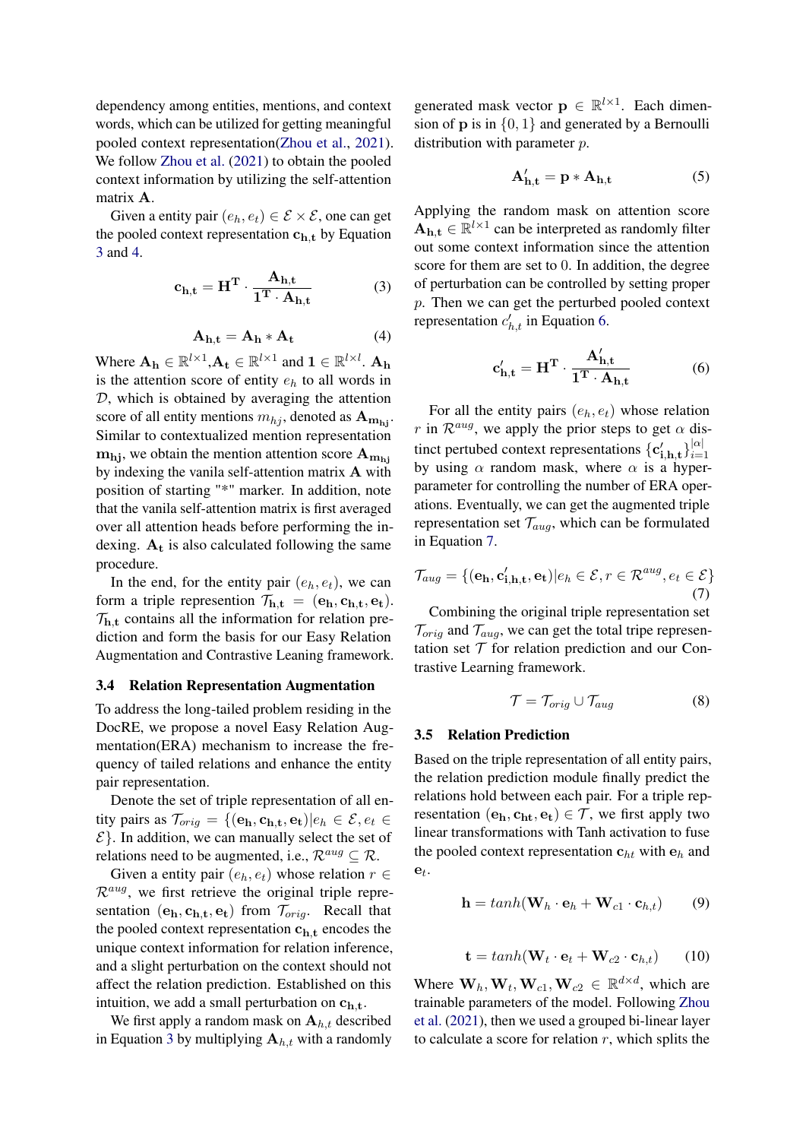dependency among entities, mentions, and context words, which can be utilized for getting meaningful pooled context representation[\(Zhou et al.,](#page-10-4) [2021\)](#page-10-4). We follow [Zhou et al.](#page-10-4) [\(2021\)](#page-10-4) to obtain the pooled context information by utilizing the self-attention matrix A.

Given a entity pair  $(e_h, e_t) \in \mathcal{E} \times \mathcal{E}$ , one can get the pooled context representation  $c_{h,t}$  by Equation [3](#page-3-0) and [4.](#page-3-1)

<span id="page-3-0"></span>
$$
\mathbf{c}_{\mathbf{h},\mathbf{t}} = \mathbf{H}^{\mathbf{T}} \cdot \frac{\mathbf{A}_{\mathbf{h},\mathbf{t}}}{\mathbf{1}^{\mathbf{T}} \cdot \mathbf{A}_{\mathbf{h},\mathbf{t}}} \tag{3}
$$

$$
\mathbf{A}_{\mathbf{h},\mathbf{t}} = \mathbf{A}_{\mathbf{h}} * \mathbf{A}_{\mathbf{t}} \tag{4}
$$

<span id="page-3-1"></span>Where  $A_h \in \mathbb{R}^{l \times 1}, A_t \in \mathbb{R}^{l \times 1}$  and  $1 \in \mathbb{R}^{l \times l}$ .  $A_h$ is the attention score of entity  $e_h$  to all words in D, which is obtained by averaging the attention score of all entity mentions  $m_{hj}$ , denoted as  $A_{mhi}$ . Similar to contextualized mention representation  $m_{hi}$ , we obtain the mention attention score  $A_{m_{hi}}$ by indexing the vanila self-attention matrix A with position of starting "\*" marker. In addition, note that the vanila self-attention matrix is first averaged over all attention heads before performing the indexing.  $A_t$  is also calculated following the same procedure.

In the end, for the entity pair  $(e_h, e_t)$ , we can form a triple represention  $\mathcal{T}_{h,t} = (e_h, c_{h,t}, e_t)$ .  $\mathcal{T}_{h,t}$  contains all the information for relation prediction and form the basis for our Easy Relation Augmentation and Contrastive Leaning framework.

#### <span id="page-3-6"></span>3.4 Relation Representation Augmentation

To address the long-tailed problem residing in the DocRE, we propose a novel Easy Relation Augmentation(ERA) mechanism to increase the frequency of tailed relations and enhance the entity pair representation.

Denote the set of triple representation of all entity pairs as  $\mathcal{T}_{orig} = \{(\mathbf{e_h}, \mathbf{c_{h,t}}, \mathbf{e_t}) | e_h \in \mathcal{E}, e_t \in$  $\mathcal{E}$ . In addition, we can manually select the set of relations need to be augmented, i.e.,  $\mathcal{R}^{aug} \subseteq \mathcal{R}$ .

Given a entity pair  $(e_h, e_t)$  whose relation  $r \in$  $\mathcal{R}^{aug}$ , we first retrieve the original triple representation  $(e_h, c_{h,t}, e_t)$  from  $\mathcal{T}_{orig}$ . Recall that the pooled context representation  $c_{h,t}$  encodes the unique context information for relation inference, and a slight perturbation on the context should not affect the relation prediction. Established on this intuition, we add a small perturbation on  $c_{h,t}$ .

We first apply a random mask on  $A_{h,t}$  described in Equation [3](#page-3-0) by multiplying  $A_{h,t}$  with a randomly

generated mask vector  $\mathbf{p} \in \mathbb{R}^{l \times 1}$ . Each dimension of **p** is in  $\{0, 1\}$  and generated by a Bernoulli distribution with parameter *p*.

$$
\mathbf{A'_{h,t}} = \mathbf{p} * \mathbf{A_{h,t}} \tag{5}
$$

Applying the random mask on attention score  $\mathbf{A}_{h,t} \in \mathbb{R}^{l \times 1}$  can be interpreted as randomly filter out some context information since the attention score for them are set to 0. In addition, the degree of perturbation can be controlled by setting proper p. Then we can get the perturbed pooled context representation  $c'_{h,t}$  in Equation [6.](#page-3-2)

<span id="page-3-2"></span>
$$
\mathbf{c}'_{\mathbf{h},\mathbf{t}} = \mathbf{H}^{\mathbf{T}} \cdot \frac{\mathbf{A}'_{\mathbf{h},\mathbf{t}}}{\mathbf{1}^{\mathbf{T}} \cdot \mathbf{A}_{\mathbf{h},\mathbf{t}}} \tag{6}
$$

For all the entity pairs  $(e_h, e_t)$  whose relation r in  $\mathcal{R}^{aug}$ , we apply the prior steps to get  $\alpha$  distinct pertubed context representations  $\{\mathbf{c}'_{i,h,t}\}_{i=1}^{|\alpha|}$  $i=1$ by using  $\alpha$  random mask, where  $\alpha$  is a hyperparameter for controlling the number of ERA operations. Eventually, we can get the augmented triple representation set  $\mathcal{T}_{aug}$ , which can be formulated in Equation [7.](#page-3-3)

<span id="page-3-3"></span>
$$
\mathcal{T}_{aug} = \{ (\mathbf{e_h}, \mathbf{c'_{i,h,t}}, \mathbf{e_t}) | e_h \in \mathcal{E}, r \in \mathcal{R}^{aug}, e_t \in \mathcal{E} \}
$$
\n
$$
\tag{7}
$$

Combining the original triple representation set  $\mathcal{T}_{orig}$  and  $\mathcal{T}_{aug}$ , we can get the total tripe representation set  $T$  for relation prediction and our Contrastive Learning framework.

$$
\mathcal{T} = \mathcal{T}_{orig} \cup \mathcal{T}_{aug} \tag{8}
$$

#### 3.5 Relation Prediction

Based on the triple representation of all entity pairs, the relation prediction module finally predict the relations hold between each pair. For a triple representation  $(e_h, c_{ht}, e_t) \in \mathcal{T}$ , we first apply two linear transformations with Tanh activation to fuse the pooled context representation  $c_{ht}$  with  $e_h$  and  $\mathbf{e}_t$ .

<span id="page-3-4"></span>
$$
\mathbf{h} = tanh(\mathbf{W}_h \cdot \mathbf{e}_h + \mathbf{W}_{c1} \cdot \mathbf{c}_{h,t})
$$
 (9)

$$
\mathbf{t} = tanh(\mathbf{W}_t \cdot \mathbf{e}_t + \mathbf{W}_{c2} \cdot \mathbf{c}_{h,t}) \qquad (10)
$$

<span id="page-3-5"></span>Where  $\mathbf{W}_h$ ,  $\mathbf{W}_t$ ,  $\mathbf{W}_{c1}$ ,  $\mathbf{W}_{c2} \in \mathbb{R}^{d \times d}$ , which are trainable parameters of the model. Following [Zhou](#page-10-4) [et al.](#page-10-4) [\(2021\)](#page-10-4), then we used a grouped bi-linear layer to calculate a score for relation  $r$ , which splits the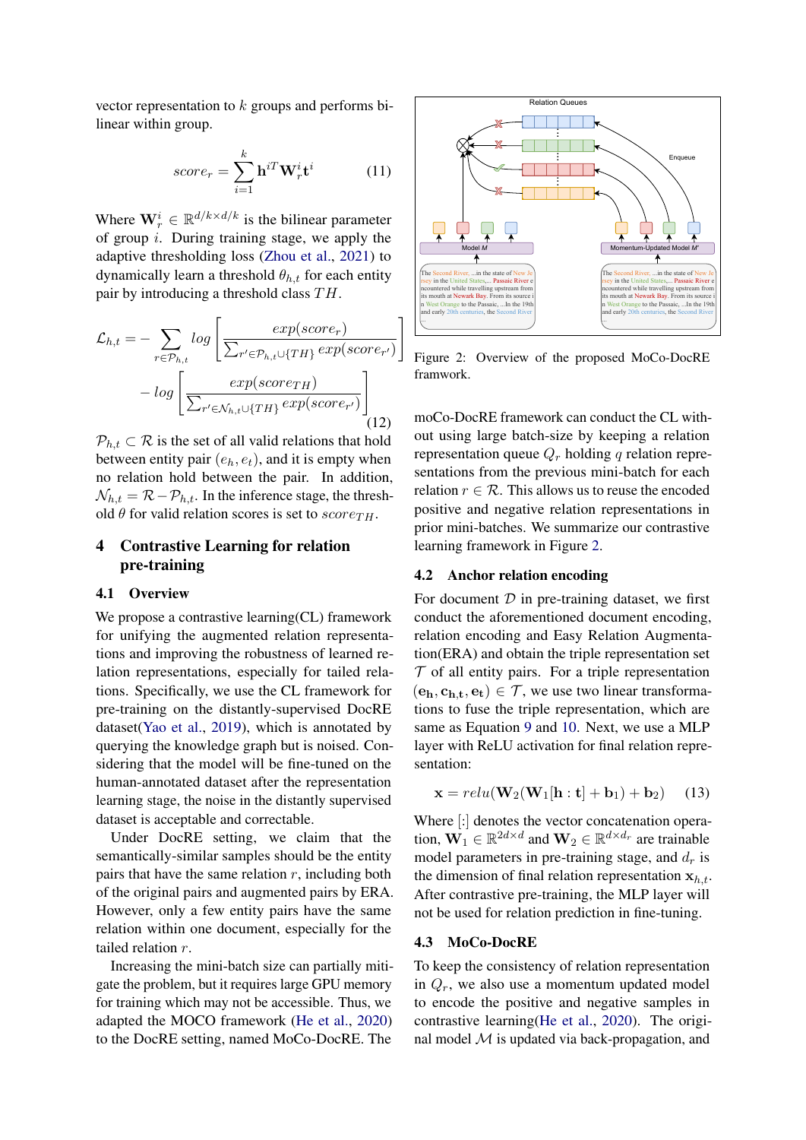vector representation to  $k$  groups and performs bilinear within group.

$$
score_r = \sum_{i=1}^{k} \mathbf{h}^{iT} \mathbf{W}_r^i \mathbf{t}^i
$$
 (11)

Where  $\mathbf{W}_r^i \in \mathbb{R}^{d/k \times d/k}$  is the bilinear parameter of group i. During training stage, we apply the adaptive thresholding loss [\(Zhou et al.,](#page-10-4) [2021\)](#page-10-4) to dynamically learn a threshold  $\theta_{h,t}$  for each entity pair by introducing a threshold class  $TH$ .

$$
\mathcal{L}_{h,t} = -\sum_{r \in \mathcal{P}_{h,t}} log \left[ \frac{exp(score_r)}{\sum_{r' \in \mathcal{P}_{h,t} \cup \{TH\}} exp(score_{r'})} \right] - log \left[ \frac{exp(score_{TH})}{\sum_{r' \in \mathcal{N}_{h,t} \cup \{TH\}} exp(score_{r'})} \right] \tag{12}
$$

 $P_{h,t} \subset \mathcal{R}$  is the set of all valid relations that hold between entity pair  $(e_h, e_t)$ , and it is empty when no relation hold between the pair. In addition,  $\mathcal{N}_{h,t} = \mathcal{R} - \mathcal{P}_{h,t}$ . In the inference stage, the threshold  $\theta$  for valid relation scores is set to score $_{TH}$ .

# 4 Contrastive Learning for relation pre-training

### 4.1 Overview

We propose a contrastive learning(CL) framework for unifying the augmented relation representations and improving the robustness of learned relation representations, especially for tailed relations. Specifically, we use the CL framework for pre-training on the distantly-supervised DocRE dataset[\(Yao et al.,](#page-10-0) [2019\)](#page-10-0), which is annotated by querying the knowledge graph but is noised. Considering that the model will be fine-tuned on the human-annotated dataset after the representation learning stage, the noise in the distantly supervised dataset is acceptable and correctable. *Nearc*<sub>r</sub> =  $\sum_{i=1}^{n} \text{ln}^{T} \mathbf{W}_{i}^{i} t^{i}$  (11)<br>
Where  $\mathbf{W}_{i}^{i} \in \mathbb{R}^{d/k \times k/2}$  is the bilinear parameter<br>
of group *i*. During training stage, we apply the<br>
dynamically learn a threshold  $b_{\ell k}$ , for each en

Under DocRE setting, we claim that the semantically-similar samples should be the entity pairs that have the same relation  $r$ , including both of the original pairs and augmented pairs by ERA. However, only a few entity pairs have the same relation within one document, especially for the tailed relation r.

Increasing the mini-batch size can partially mitigate the problem, but it requires large GPU memory for training which may not be accessible. Thus, we adapted the MOCO framework [\(He et al.,](#page-9-10) [2020\)](#page-9-10)

<span id="page-4-0"></span>

Figure 2: Overview of the proposed MoCo-DocRE framwork.

moCo-DocRE framework can conduct the CL without using large batch-size by keeping a relation representation queue  $Q_r$  holding q relation representations from the previous mini-batch for each relation  $r \in \mathcal{R}$ . This allows us to reuse the encoded positive and negative relation representations in prior mini-batches. We summarize our contrastive learning framework in Figure [2.](#page-4-0)

### 4.2 Anchor relation encoding

For document  $D$  in pre-training dataset, we first conduct the aforementioned document encoding, relation encoding and Easy Relation Augmentation(ERA) and obtain the triple representation set  $T$  of all entity pairs. For a triple representation  $(e_h, c_{h,t}, e_t) \in \mathcal{T}$ , we use two linear transformations to fuse the triple representation, which are same as Equation [9](#page-3-4) and [10.](#page-3-5) Next, we use a MLP layer with ReLU activation for final relation representation:

$$
\mathbf{x} = relu(\mathbf{W}_2(\mathbf{W}_1[\mathbf{h}:\mathbf{t}] + \mathbf{b}_1) + \mathbf{b}_2)
$$
 (13)

Where [:] denotes the vector concatenation operation,  $\mathbf{W}_1 \in \mathbb{R}^{2d \times d}$  and  $\mathbf{W}_2 \in \mathbb{R}^{d \times d_r}$  are trainable model parameters in pre-training stage, and  $d_r$  is the dimension of final relation representation  $x_{h,t}$ . After contrastive pre-training, the MLP layer will not be used for relation prediction in fine-tuning.

#### 4.3 MoCo-DocRE

To keep the consistency of relation representation in  $Q_r$ , we also use a momentum updated model to encode the positive and negative samples in contrastive learning[\(He et al.,](#page-9-10) [2020\)](#page-9-10). The original model  $M$  is updated via back-propagation, and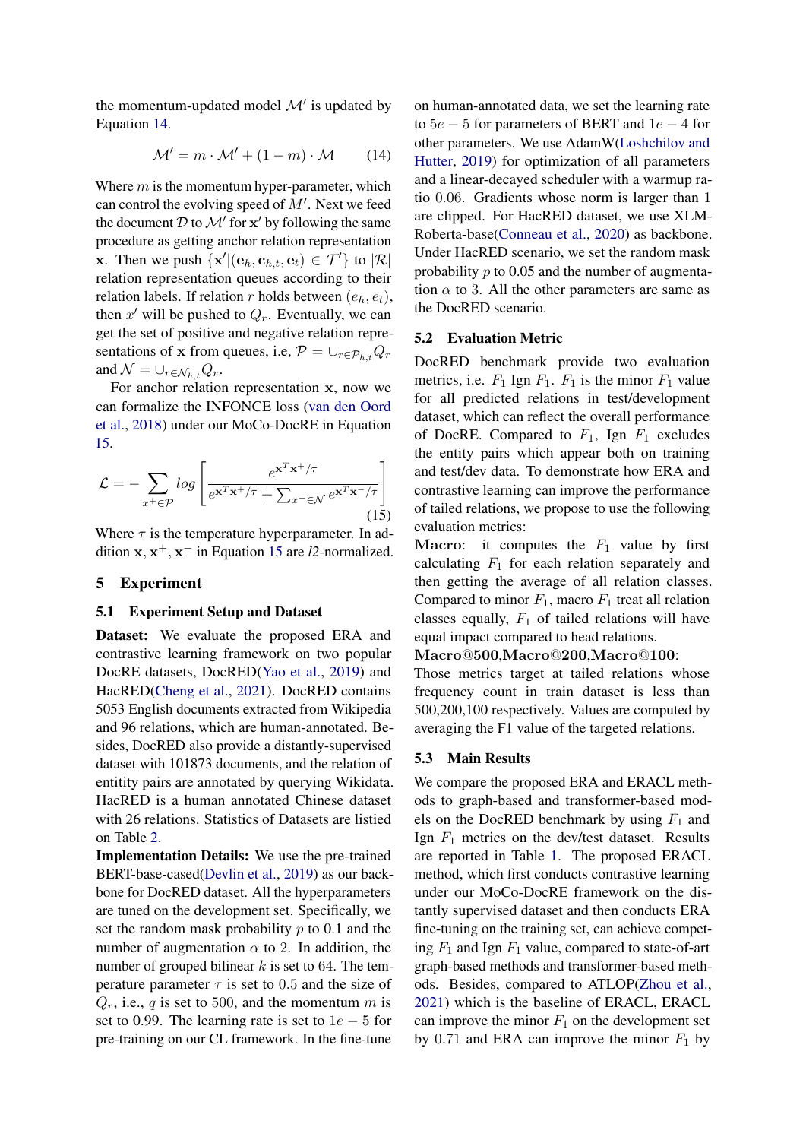the momentum-updated model  $\mathcal{M}'$  is updated by Equation [14.](#page-5-0)

<span id="page-5-0"></span>
$$
\mathcal{M}' = m \cdot \mathcal{M}' + (1 - m) \cdot \mathcal{M} \tag{14}
$$

Where  $m$  is the momentum hyper-parameter, which can control the evolving speed of  $M'$ . Next we feed the document  $D$  to  $\mathcal{M}'$  for  $\mathbf{x}'$  by following the same procedure as getting anchor relation representation **x**. Then we push  $\{x' | (e_h, c_{h,t}, e_t) \in \mathcal{T}'\}$  to  $|\mathcal{R}|$ relation representation queues according to their relation labels. If relation r holds between  $(e_h, e_t)$ , then  $x'$  will be pushed to  $Q_r$ . Eventually, we can get the set of positive and negative relation representations of x from queues, i.e,  $\mathcal{P} = \bigcup_{r \in \mathcal{P}_{h}} Q_r$ and  $\mathcal{N} = \bigcup_{r \in \mathcal{N}_{h,t}} Q_r$ .

For anchor relation representation x, now we can formalize the INFONCE loss [\(van den Oord](#page-9-11) [et al.,](#page-9-11) [2018\)](#page-9-11) under our MoCo-DocRE in Equation [15.](#page-5-1)

<span id="page-5-1"></span>
$$
\mathcal{L} = -\sum_{x^+ \in \mathcal{P}} \log \left[ \frac{e^{\mathbf{x}^T \mathbf{x}^+ / \tau}}{e^{\mathbf{x}^T \mathbf{x}^+ / \tau} + \sum_{x^- \in \mathcal{N}} e^{\mathbf{x}^T \mathbf{x}^- / \tau}} \right]
$$
(15)

Where  $\tau$  is the temperature hyperparameter. In addition  $x, x^+, x^-$  in Equation [15](#page-5-1) are *l2*-normalized.

### 5 Experiment

# 5.1 Experiment Setup and Dataset

Dataset: We evaluate the proposed ERA and contrastive learning framework on two popular DocRE datasets, DocRED[\(Yao et al.,](#page-10-0) [2019\)](#page-10-0) and HacRED[\(Cheng et al.,](#page-8-5) [2021\)](#page-8-5). DocRED contains 5053 English documents extracted from Wikipedia and 96 relations, which are human-annotated. Besides, DocRED also provide a distantly-supervised dataset with 101873 documents, and the relation of entitity pairs are annotated by querying Wikidata. HacRED is a human annotated Chinese dataset with 26 relations. Statistics of Datasets are listied on Table [2.](#page-6-0)

Implementation Details: We use the pre-trained BERT-base-cased[\(Devlin et al.,](#page-8-2) [2019\)](#page-8-2) as our backbone for DocRED dataset. All the hyperparameters are tuned on the development set. Specifically, we set the random mask probability  $p$  to 0.1 and the number of augmentation  $\alpha$  to 2. In addition, the number of grouped bilinear  $k$  is set to 64. The temperature parameter  $\tau$  is set to 0.5 and the size of  $Q_r$ , i.e., q is set to 500, and the momentum m is set to 0.99. The learning rate is set to  $1e - 5$  for pre-training on our CL framework. In the fine-tune

on human-annotated data, we set the learning rate to  $5e - 5$  for parameters of BERT and  $1e - 4$  for other parameters. We use AdamW[\(Loshchilov and](#page-9-16) [Hutter,](#page-9-16) [2019\)](#page-9-16) for optimization of all parameters and a linear-decayed scheduler with a warmup ratio 0.06. Gradients whose norm is larger than 1 are clipped. For HacRED dataset, we use XLM-Roberta-base[\(Conneau et al.,](#page-8-6) [2020\)](#page-8-6) as backbone. Under HacRED scenario, we set the random mask probability  $p$  to 0.05 and the number of augmentation  $\alpha$  to 3. All the other parameters are same as the DocRED scenario.

### 5.2 Evaluation Metric

DocRED benchmark provide two evaluation metrics, i.e.  $F_1$  Ign  $F_1$ .  $F_1$  is the minor  $F_1$  value for all predicted relations in test/development dataset, which can reflect the overall performance of DocRE. Compared to  $F_1$ , Ign  $F_1$  excludes the entity pairs which appear both on training and test/dev data. To demonstrate how ERA and contrastive learning can improve the performance of tailed relations, we propose to use the following evaluation metrics:

**Macro:** it computes the  $F_1$  value by first calculating  $F_1$  for each relation separately and then getting the average of all relation classes. Compared to minor  $F_1$ , macro  $F_1$  treat all relation classes equally,  $F_1$  of tailed relations will have equal impact compared to head relations.

### Macro@500,Macro@200,Macro@100:

Those metrics target at tailed relations whose frequency count in train dataset is less than 500,200,100 respectively. Values are computed by averaging the F1 value of the targeted relations.

#### 5.3 Main Results

We compare the proposed ERA and ERACL methods to graph-based and transformer-based models on the DocRED benchmark by using  $F_1$  and Ign  $F_1$  metrics on the dev/test dataset. Results are reported in Table [1.](#page-6-1) The proposed ERACL method, which first conducts contrastive learning under our MoCo-DocRE framework on the distantly supervised dataset and then conducts ERA fine-tuning on the training set, can achieve competing  $F_1$  and Ign  $F_1$  value, compared to state-of-art graph-based methods and transformer-based methods. Besides, compared to ATLOP[\(Zhou et al.,](#page-10-4) [2021\)](#page-10-4) which is the baseline of ERACL, ERACL can improve the minor  $F_1$  on the development set by 0.71 and ERA can improve the minor  $F_1$  by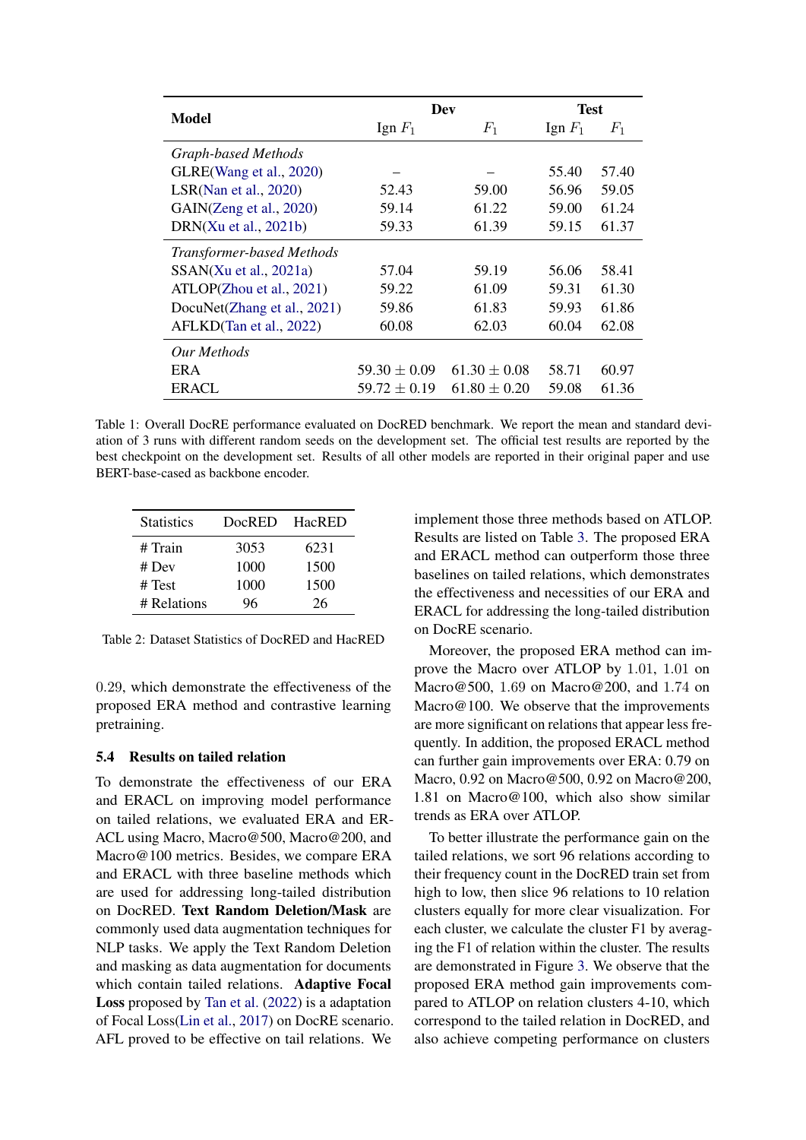<span id="page-6-1"></span>

|                                   | Dev              |                  | <b>Test</b> |       |
|-----------------------------------|------------------|------------------|-------------|-------|
| Model                             | Ign $F_1$        | $F_1$            | Ign $F_1$   | $F_1$ |
| Graph-based Methods               |                  |                  |             |       |
| GLRE(Wang et al., 2020)           |                  |                  | 55.40       | 57.40 |
| LSR(Nan et al., 2020)             | 52.43            | 59.00            | 56.96       | 59.05 |
| GAIN(Zeng et al., 2020)           | 59.14            | 61.22            | 59.00       | 61.24 |
| DRN $(Xu \text{ et al., } 2021b)$ | 59.33            | 61.39            | 59.15       | 61.37 |
| <b>Transformer-based Methods</b>  |                  |                  |             |       |
| SSAN(Xu et al., 2021a)            | 57.04            | 59.19            | 56.06       | 58.41 |
| ATLOP(Zhou et al., 2021)          | 59.22            | 61.09            | 59.31       | 61.30 |
| DocuNet(Zhang et al., 2021)       | 59.86            | 61.83            | 59.93       | 61.86 |
| AFLKD(Tan et al., 2022)           | 60.08            | 62.03            | 60.04       | 62.08 |
| Our Methods                       |                  |                  |             |       |
| ER A                              | $59.30 \pm 0.09$ | $61.30 \pm 0.08$ | 58.71       | 60.97 |
| <b>ERACL</b>                      | $59.72 \pm 0.19$ | $61.80 \pm 0.20$ | 59.08       | 61.36 |

Table 1: Overall DocRE performance evaluated on DocRED benchmark. We report the mean and standard deviation of 3 runs with different random seeds on the development set. The official test results are reported by the best checkpoint on the development set. Results of all other models are reported in their original paper and use BERT-base-cased as backbone encoder.

<span id="page-6-0"></span>

| <b>Statistics</b> | DocRED | HacRED |
|-------------------|--------|--------|
| # Train           | 3053   | 6231   |
| # Dev             | 1000   | 1500   |
| # Test            | 1000   | 1500   |
| # Relations       | 96     | 26     |

Table 2: Dataset Statistics of DocRED and HacRED

0.29, which demonstrate the effectiveness of the proposed ERA method and contrastive learning pretraining.

### 5.4 Results on tailed relation

To demonstrate the effectiveness of our ERA and ERACL on improving model performance on tailed relations, we evaluated ERA and ER-ACL using Macro, Macro@500, Macro@200, and Macro@100 metrics. Besides, we compare ERA and ERACL with three baseline methods which are used for addressing long-tailed distribution on DocRED. Text Random Deletion/Mask are commonly used data augmentation techniques for NLP tasks. We apply the Text Random Deletion and masking as data augmentation for documents which contain tailed relations. Adaptive Focal Loss proposed by [Tan et al.](#page-9-17) [\(2022\)](#page-9-17) is a adaptation of Focal Loss[\(Lin et al.,](#page-9-18) [2017\)](#page-9-18) on DocRE scenario. AFL proved to be effective on tail relations. We

implement those three methods based on ATLOP. Results are listed on Table [3.](#page-7-0) The proposed ERA and ERACL method can outperform those three baselines on tailed relations, which demonstrates the effectiveness and necessities of our ERA and ERACL for addressing the long-tailed distribution on DocRE scenario.

Moreover, the proposed ERA method can improve the Macro over ATLOP by 1.01, 1.01 on Macro@500, 1.69 on Macro@200, and 1.74 on Macro@100. We observe that the improvements are more significant on relations that appear less frequently. In addition, the proposed ERACL method can further gain improvements over ERA: 0.79 on Macro, 0.92 on Macro@500, 0.92 on Macro@200, 1.81 on Macro@100, which also show similar trends as ERA over ATLOP.

To better illustrate the performance gain on the tailed relations, we sort 96 relations according to their frequency count in the DocRED train set from high to low, then slice 96 relations to 10 relation clusters equally for more clear visualization. For each cluster, we calculate the cluster F1 by averaging the F1 of relation within the cluster. The results are demonstrated in Figure [3.](#page-7-1) We observe that the proposed ERA method gain improvements compared to ATLOP on relation clusters 4-10, which correspond to the tailed relation in DocRED, and also achieve competing performance on clusters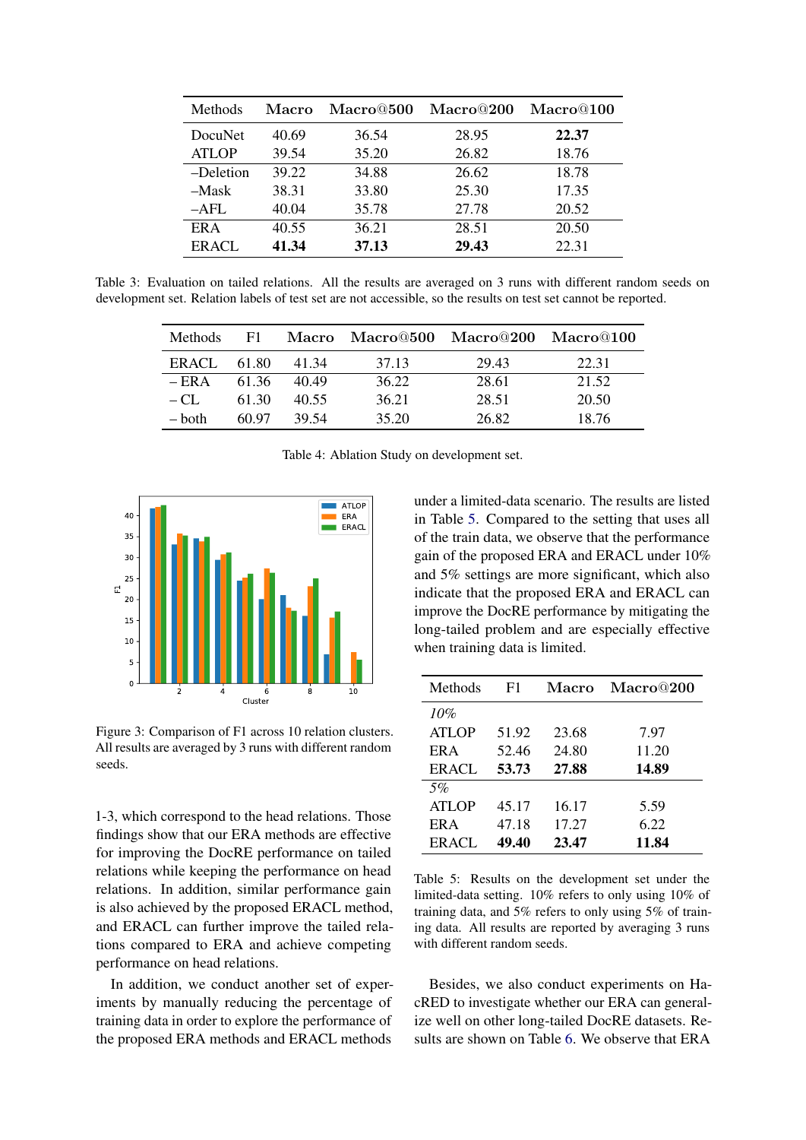<span id="page-7-0"></span>

| <b>Methods</b> | Macro | Macro@500 | Macro@200 | $\rm Macro@100$ |
|----------------|-------|-----------|-----------|-----------------|
| DocuNet        | 40.69 | 36.54     | 28.95     | 22.37           |
| <b>ATLOP</b>   | 39.54 | 35.20     | 26.82     | 18.76           |
| -Deletion      | 39.22 | 34.88     | 26.62     | 18.78           |
| $-Mask$        | 38.31 | 33.80     | 25.30     | 17.35           |
| $-AFL$         | 40.04 | 35.78     | 27.78     | 20.52           |
| ER A           | 40.55 | 36.21     | 28.51     | 20.50           |
| <b>ERACL</b>   | 41.34 | 37.13     | 29.43     | 22.31           |

<span id="page-7-3"></span>Table 3: Evaluation on tailed relations. All the results are averaged on 3 runs with different random seeds on development set. Relation labels of test set are not accessible, so the results on test set cannot be reported.

| <b>Methods</b> | F1.   |       | Macro Macro@500 Macro@200 Macro@100 |       |       |
|----------------|-------|-------|-------------------------------------|-------|-------|
| ERACL          | 61.80 | 41.34 | 37.13                               | 29.43 | 22.31 |
| $-ERA$         | 61.36 | 40.49 | 36.22                               | 28.61 | 21.52 |
| $-CI$ .        | 61.30 | 40.55 | 36.21                               | 28.51 | 20.50 |
| – both         | 60.97 | 39.54 | 35.20                               | 26.82 | 18.76 |

Table 4: Ablation Study on development set.

<span id="page-7-1"></span>

Figure 3: Comparison of F1 across 10 relation clusters. All results are averaged by 3 runs with different random seeds.

1-3, which correspond to the head relations. Those findings show that our ERA methods are effective for improving the DocRE performance on tailed relations while keeping the performance on head relations. In addition, similar performance gain is also achieved by the proposed ERACL method, and ERACL can further improve the tailed relations compared to ERA and achieve competing performance on head relations.

In addition, we conduct another set of experiments by manually reducing the percentage of training data in order to explore the performance of the proposed ERA methods and ERACL methods

under a limited-data scenario. The results are listed in Table [5.](#page-7-2) Compared to the setting that uses all of the train data, we observe that the performance gain of the proposed ERA and ERACL under 10% and 5% settings are more significant, which also indicate that the proposed ERA and ERACL can improve the DocRE performance by mitigating the long-tailed problem and are especially effective when training data is limited.

<span id="page-7-2"></span>

| Methods      | F1    | Macro | Macro@200 |
|--------------|-------|-------|-----------|
| 10%          |       |       |           |
| <b>ATLOP</b> | 51.92 | 23.68 | 7.97      |
| <b>ERA</b>   | 52.46 | 24.80 | 11.20     |
| <b>ERACL</b> | 53.73 | 27.88 | 14.89     |
| 5%           |       |       |           |
| <b>ATLOP</b> | 45.17 | 16.17 | 5.59      |
| ER A         | 47.18 | 17.27 | 6.22      |
| ERACL        | 49.40 | 23.47 | 11.84     |

Table 5: Results on the development set under the limited-data setting. 10% refers to only using 10% of training data, and 5% refers to only using 5% of training data. All results are reported by averaging 3 runs with different random seeds.

Besides, we also conduct experiments on HacRED to investigate whether our ERA can generalize well on other long-tailed DocRE datasets. Results are shown on Table [6.](#page-8-7) We observe that ERA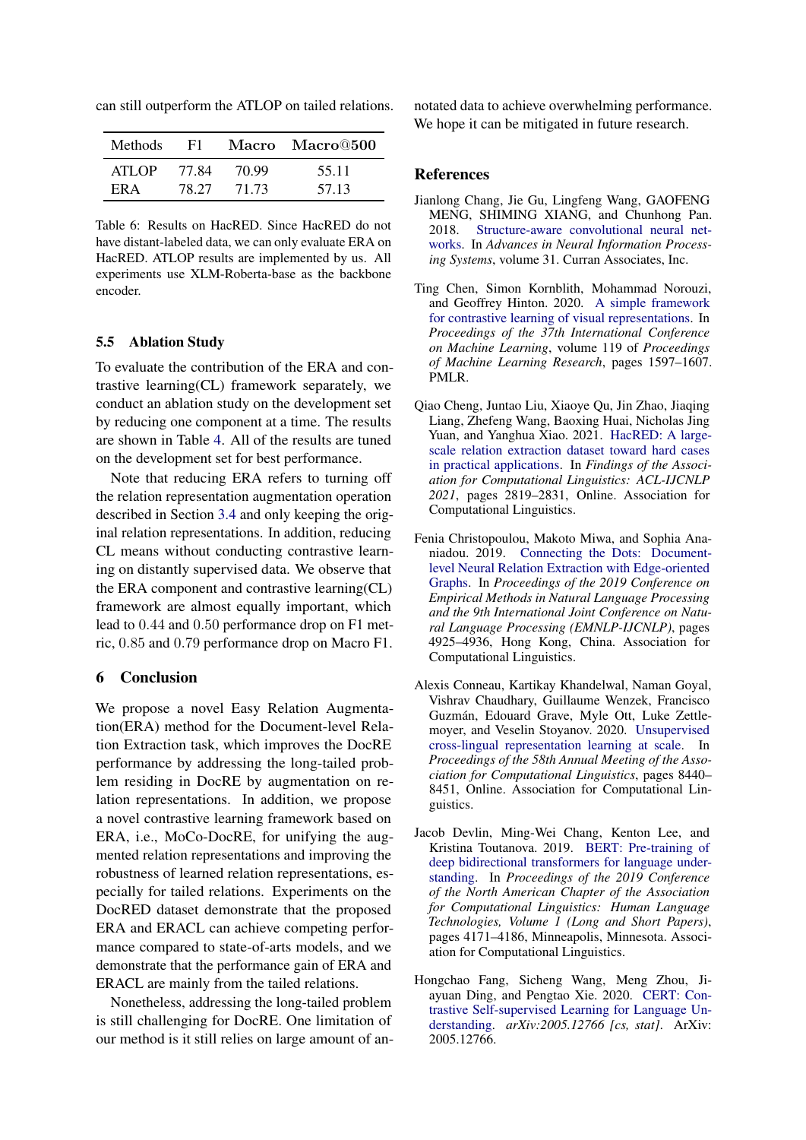<span id="page-8-7"></span>

| Methods | - F1  |       | Macro Macro@500 |
|---------|-------|-------|-----------------|
| ATLOP   | 77 84 | 70.99 | 55.11           |
| FR A    | 78.27 | 71.73 | 57.13           |

can still outperform the ATLOP on tailed relations.

Table 6: Results on HacRED. Since HacRED do not have distant-labeled data, we can only evaluate ERA on HacRED. ATLOP results are implemented by us. All experiments use XLM-Roberta-base as the backbone encoder.

#### 5.5 Ablation Study

To evaluate the contribution of the ERA and contrastive learning(CL) framework separately, we conduct an ablation study on the development set by reducing one component at a time. The results are shown in Table [4.](#page-7-3) All of the results are tuned on the development set for best performance.

Note that reducing ERA refers to turning off the relation representation augmentation operation described in Section [3.4](#page-3-6) and only keeping the original relation representations. In addition, reducing CL means without conducting contrastive learning on distantly supervised data. We observe that the ERA component and contrastive learning(CL) framework are almost equally important, which lead to 0.44 and 0.50 performance drop on F1 metric, 0.85 and 0.79 performance drop on Macro F1.

# 6 Conclusion

We propose a novel Easy Relation Augmentation(ERA) method for the Document-level Relation Extraction task, which improves the DocRE performance by addressing the long-tailed problem residing in DocRE by augmentation on relation representations. In addition, we propose a novel contrastive learning framework based on ERA, i.e., MoCo-DocRE, for unifying the augmented relation representations and improving the robustness of learned relation representations, especially for tailed relations. Experiments on the DocRED dataset demonstrate that the proposed ERA and ERACL can achieve competing performance compared to state-of-arts models, and we demonstrate that the performance gain of ERA and ERACL are mainly from the tailed relations.

Nonetheless, addressing the long-tailed problem is still challenging for DocRE. One limitation of our method is it still relies on large amount of annotated data to achieve overwhelming performance. We hope it can be mitigated in future research.

### References

- <span id="page-8-1"></span>Jianlong Chang, Jie Gu, Lingfeng Wang, GAOFENG MENG, SHIMING XIANG, and Chunhong Pan. 2018. [Structure-aware convolutional neural net](https://proceedings.neurips.cc/paper/2018/file/182be0c5cdcd5072bb1864cdee4d3d6e-Paper.pdf)[works.](https://proceedings.neurips.cc/paper/2018/file/182be0c5cdcd5072bb1864cdee4d3d6e-Paper.pdf) In *Advances in Neural Information Processing Systems*, volume 31. Curran Associates, Inc.
- <span id="page-8-3"></span>Ting Chen, Simon Kornblith, Mohammad Norouzi, and Geoffrey Hinton. 2020. [A simple framework](http://proceedings.mlr.press/v119/chen20j.html) [for contrastive learning of visual representations.](http://proceedings.mlr.press/v119/chen20j.html) In *Proceedings of the 37th International Conference on Machine Learning*, volume 119 of *Proceedings of Machine Learning Research*, pages 1597–1607. PMLR.
- <span id="page-8-5"></span>Qiao Cheng, Juntao Liu, Xiaoye Qu, Jin Zhao, Jiaqing Liang, Zhefeng Wang, Baoxing Huai, Nicholas Jing Yuan, and Yanghua Xiao. 2021. [HacRED: A large](https://doi.org/10.18653/v1/2021.findings-acl.249)[scale relation extraction dataset toward hard cases](https://doi.org/10.18653/v1/2021.findings-acl.249) [in practical applications.](https://doi.org/10.18653/v1/2021.findings-acl.249) In *Findings of the Association for Computational Linguistics: ACL-IJCNLP 2021*, pages 2819–2831, Online. Association for Computational Linguistics.
- <span id="page-8-0"></span>Fenia Christopoulou, Makoto Miwa, and Sophia Ananiadou. 2019. [Connecting the Dots: Document](https://doi.org/10.18653/v1/D19-1498)[level Neural Relation Extraction with Edge-oriented](https://doi.org/10.18653/v1/D19-1498) [Graphs.](https://doi.org/10.18653/v1/D19-1498) In *Proceedings of the 2019 Conference on Empirical Methods in Natural Language Processing and the 9th International Joint Conference on Natural Language Processing (EMNLP-IJCNLP)*, pages 4925–4936, Hong Kong, China. Association for Computational Linguistics.
- <span id="page-8-6"></span>Alexis Conneau, Kartikay Khandelwal, Naman Goyal, Vishrav Chaudhary, Guillaume Wenzek, Francisco Guzmán, Edouard Grave, Myle Ott, Luke Zettlemoyer, and Veselin Stoyanov. 2020. [Unsupervised](https://doi.org/10.18653/v1/2020.acl-main.747) [cross-lingual representation learning at scale.](https://doi.org/10.18653/v1/2020.acl-main.747) In *Proceedings of the 58th Annual Meeting of the Association for Computational Linguistics*, pages 8440– 8451, Online. Association for Computational Linguistics.
- <span id="page-8-2"></span>Jacob Devlin, Ming-Wei Chang, Kenton Lee, and Kristina Toutanova. 2019. [BERT: Pre-training of](https://doi.org/10.18653/v1/N19-1423) [deep bidirectional transformers for language under](https://doi.org/10.18653/v1/N19-1423)[standing.](https://doi.org/10.18653/v1/N19-1423) In *Proceedings of the 2019 Conference of the North American Chapter of the Association for Computational Linguistics: Human Language Technologies, Volume 1 (Long and Short Papers)*, pages 4171–4186, Minneapolis, Minnesota. Association for Computational Linguistics.
- <span id="page-8-4"></span>Hongchao Fang, Sicheng Wang, Meng Zhou, Jiayuan Ding, and Pengtao Xie. 2020. [CERT: Con](http://arxiv.org/abs/2005.12766)[trastive Self-supervised Learning for Language Un](http://arxiv.org/abs/2005.12766)[derstanding.](http://arxiv.org/abs/2005.12766) *arXiv:2005.12766 [cs, stat]*. ArXiv: 2005.12766.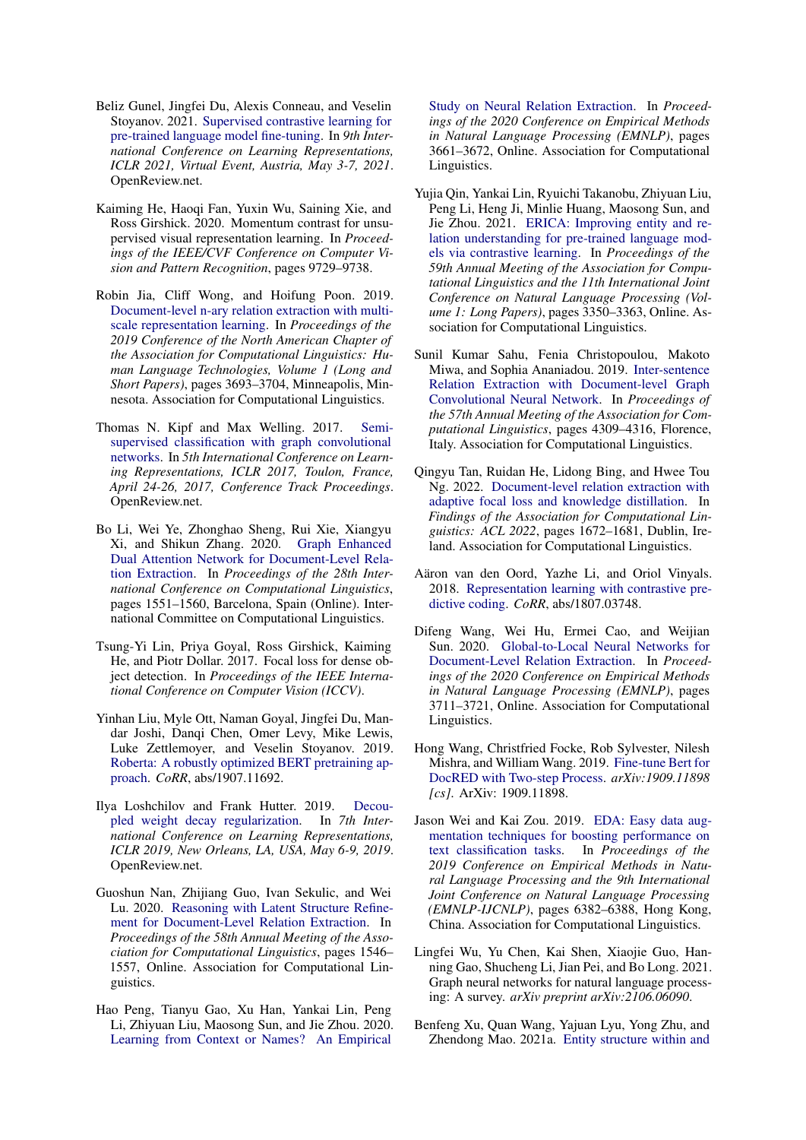- <span id="page-9-12"></span>Beliz Gunel, Jingfei Du, Alexis Conneau, and Veselin Stoyanov. 2021. [Supervised contrastive learning for](https://openreview.net/forum?id=cu7IUiOhujH) [pre-trained language model fine-tuning.](https://openreview.net/forum?id=cu7IUiOhujH) In *9th International Conference on Learning Representations, ICLR 2021, Virtual Event, Austria, May 3-7, 2021*. OpenReview.net.
- <span id="page-9-10"></span>Kaiming He, Haoqi Fan, Yuxin Wu, Saining Xie, and Ross Girshick. 2020. Momentum contrast for unsupervised visual representation learning. In *Proceedings of the IEEE/CVF Conference on Computer Vision and Pattern Recognition*, pages 9729–9738.
- <span id="page-9-15"></span>Robin Jia, Cliff Wong, and Hoifung Poon. 2019. [Document-level n-ary relation extraction with multi](https://doi.org/10.18653/v1/N19-1370)[scale representation learning.](https://doi.org/10.18653/v1/N19-1370) In *Proceedings of the 2019 Conference of the North American Chapter of the Association for Computational Linguistics: Human Language Technologies, Volume 1 (Long and Short Papers)*, pages 3693–3704, Minneapolis, Minnesota. Association for Computational Linguistics.
- <span id="page-9-5"></span>Thomas N. Kipf and Max Welling. 2017. [Semi](https://openreview.net/forum?id=SJU4ayYgl)[supervised classification with graph convolutional](https://openreview.net/forum?id=SJU4ayYgl) [networks.](https://openreview.net/forum?id=SJU4ayYgl) In *5th International Conference on Learning Representations, ICLR 2017, Toulon, France, April 24-26, 2017, Conference Track Proceedings*. OpenReview.net.
- <span id="page-9-4"></span>Bo Li, Wei Ye, Zhonghao Sheng, Rui Xie, Xiangyu Xi, and Shikun Zhang. 2020. [Graph Enhanced](https://doi.org/10.18653/v1/2020.coling-main.136) [Dual Attention Network for Document-Level Rela](https://doi.org/10.18653/v1/2020.coling-main.136)[tion Extraction.](https://doi.org/10.18653/v1/2020.coling-main.136) In *Proceedings of the 28th International Conference on Computational Linguistics*, pages 1551–1560, Barcelona, Spain (Online). International Committee on Computational Linguistics.
- <span id="page-9-18"></span>Tsung-Yi Lin, Priya Goyal, Ross Girshick, Kaiming He, and Piotr Dollar. 2017. Focal loss for dense object detection. In *Proceedings of the IEEE International Conference on Computer Vision (ICCV)*.
- <span id="page-9-9"></span>Yinhan Liu, Myle Ott, Naman Goyal, Jingfei Du, Mandar Joshi, Danqi Chen, Omer Levy, Mike Lewis, Luke Zettlemoyer, and Veselin Stoyanov. 2019. [Roberta: A robustly optimized BERT pretraining ap](http://arxiv.org/abs/1907.11692)[proach.](http://arxiv.org/abs/1907.11692) *CoRR*, abs/1907.11692.
- <span id="page-9-16"></span>Ilya Loshchilov and Frank Hutter. 2019. [Decou](https://openreview.net/forum?id=Bkg6RiCqY7)[pled weight decay regularization.](https://openreview.net/forum?id=Bkg6RiCqY7) In *7th International Conference on Learning Representations, ICLR 2019, New Orleans, LA, USA, May 6-9, 2019*. OpenReview.net.
- <span id="page-9-3"></span>Guoshun Nan, Zhijiang Guo, Ivan Sekulic, and Wei Lu. 2020. [Reasoning with Latent Structure Refine](https://doi.org/10.18653/v1/2020.acl-main.141)[ment for Document-Level Relation Extraction.](https://doi.org/10.18653/v1/2020.acl-main.141) In *Proceedings of the 58th Annual Meeting of the Association for Computational Linguistics*, pages 1546– 1557, Online. Association for Computational Linguistics.
- <span id="page-9-13"></span>Hao Peng, Tianyu Gao, Xu Han, Yankai Lin, Peng Li, Zhiyuan Liu, Maosong Sun, and Jie Zhou. 2020. [Learning from Context or Names? An Empirical](https://doi.org/10.18653/v1/2020.emnlp-main.298)

[Study on Neural Relation Extraction.](https://doi.org/10.18653/v1/2020.emnlp-main.298) In *Proceedings of the 2020 Conference on Empirical Methods in Natural Language Processing (EMNLP)*, pages 3661–3672, Online. Association for Computational Linguistics.

- <span id="page-9-14"></span>Yujia Qin, Yankai Lin, Ryuichi Takanobu, Zhiyuan Liu, Peng Li, Heng Ji, Minlie Huang, Maosong Sun, and Jie Zhou. 2021. [ERICA: Improving entity and re](https://doi.org/10.18653/v1/2021.acl-long.260)[lation understanding for pre-trained language mod](https://doi.org/10.18653/v1/2021.acl-long.260)[els via contrastive learning.](https://doi.org/10.18653/v1/2021.acl-long.260) In *Proceedings of the 59th Annual Meeting of the Association for Computational Linguistics and the 11th International Joint Conference on Natural Language Processing (Volume 1: Long Papers)*, pages 3350–3363, Online. Association for Computational Linguistics.
- <span id="page-9-1"></span>Sunil Kumar Sahu, Fenia Christopoulou, Makoto Miwa, and Sophia Ananiadou. 2019. [Inter-sentence](https://doi.org/10.18653/v1/P19-1423) [Relation Extraction with Document-level Graph](https://doi.org/10.18653/v1/P19-1423) [Convolutional Neural Network.](https://doi.org/10.18653/v1/P19-1423) In *Proceedings of the 57th Annual Meeting of the Association for Computational Linguistics*, pages 4309–4316, Florence, Italy. Association for Computational Linguistics.
- <span id="page-9-17"></span>Qingyu Tan, Ruidan He, Lidong Bing, and Hwee Tou Ng. 2022. [Document-level relation extraction with](https://aclanthology.org/2022.findings-acl.132) [adaptive focal loss and knowledge distillation.](https://aclanthology.org/2022.findings-acl.132) In *Findings of the Association for Computational Linguistics: ACL 2022*, pages 1672–1681, Dublin, Ireland. Association for Computational Linguistics.
- <span id="page-9-11"></span>Aäron van den Oord, Yazhe Li, and Oriol Vinyals. 2018. [Representation learning with contrastive pre](http://arxiv.org/abs/1807.03748)[dictive coding.](http://arxiv.org/abs/1807.03748) *CoRR*, abs/1807.03748.
- <span id="page-9-2"></span>Difeng Wang, Wei Hu, Ermei Cao, and Weijian Sun. 2020. [Global-to-Local Neural Networks for](https://doi.org/10.18653/v1/2020.emnlp-main.303) [Document-Level Relation Extraction.](https://doi.org/10.18653/v1/2020.emnlp-main.303) In *Proceedings of the 2020 Conference on Empirical Methods in Natural Language Processing (EMNLP)*, pages 3711–3721, Online. Association for Computational Linguistics.
- <span id="page-9-7"></span>Hong Wang, Christfried Focke, Rob Sylvester, Nilesh Mishra, and William Wang. 2019. [Fine-tune Bert for](http://arxiv.org/abs/1909.11898) [DocRED with Two-step Process.](http://arxiv.org/abs/1909.11898) *arXiv:1909.11898 [cs]*. ArXiv: 1909.11898.
- <span id="page-9-0"></span>Jason Wei and Kai Zou. 2019. [EDA: Easy data aug](https://doi.org/10.18653/v1/D19-1670)[mentation techniques for boosting performance on](https://doi.org/10.18653/v1/D19-1670) [text classification tasks.](https://doi.org/10.18653/v1/D19-1670) In *Proceedings of the 2019 Conference on Empirical Methods in Natural Language Processing and the 9th International Joint Conference on Natural Language Processing (EMNLP-IJCNLP)*, pages 6382–6388, Hong Kong, China. Association for Computational Linguistics.
- <span id="page-9-6"></span>Lingfei Wu, Yu Chen, Kai Shen, Xiaojie Guo, Hanning Gao, Shucheng Li, Jian Pei, and Bo Long. 2021. Graph neural networks for natural language processing: A survey. *arXiv preprint arXiv:2106.06090*.
- <span id="page-9-8"></span>Benfeng Xu, Quan Wang, Yajuan Lyu, Yong Zhu, and Zhendong Mao. 2021a. [Entity structure within and](https://ojs.aaai.org/index.php/AAAI/article/view/17665)